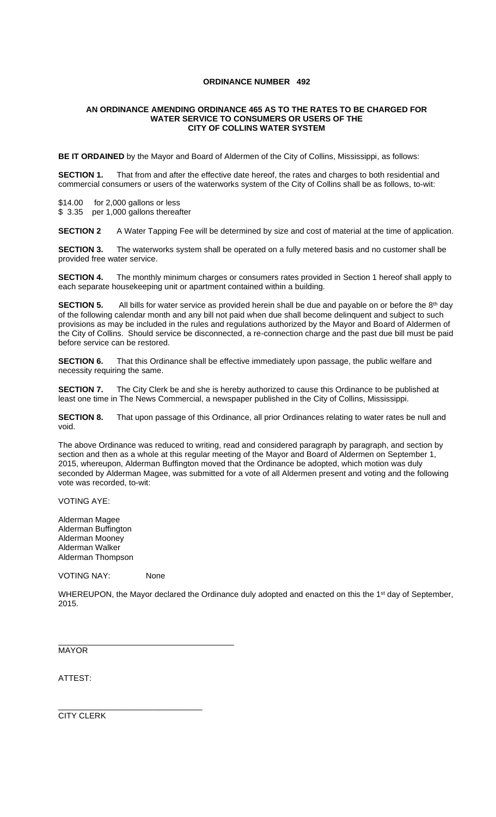## **ORDINANCE NUMBER 492**

## **AN ORDINANCE AMENDING ORDINANCE 465 AS TO THE RATES TO BE CHARGED FOR WATER SERVICE TO CONSUMERS OR USERS OF THE CITY OF COLLINS WATER SYSTEM**

**BE IT ORDAINED** by the Mayor and Board of Aldermen of the City of Collins, Mississippi, as follows:

**SECTION 1.** That from and after the effective date hereof, the rates and charges to both residential and commercial consumers or users of the waterworks system of the City of Collins shall be as follows, to-wit:

\$14.00 for 2,000 gallons or less

\$ 3.35 per 1,000 gallons thereafter

**SECTION 2** A Water Tapping Fee will be determined by size and cost of material at the time of application.

**SECTION 3.** The waterworks system shall be operated on a fully metered basis and no customer shall be provided free water service.

**SECTION 4.** The monthly minimum charges or consumers rates provided in Section 1 hereof shall apply to each separate housekeeping unit or apartment contained within a building.

**SECTION 5.** All bills for water service as provided herein shall be due and payable on or before the 8<sup>th</sup> day of the following calendar month and any bill not paid when due shall become delinquent and subject to such provisions as may be included in the rules and regulations authorized by the Mayor and Board of Aldermen of the City of Collins. Should service be disconnected, a re-connection charge and the past due bill must be paid before service can be restored.

**SECTION 6.** That this Ordinance shall be effective immediately upon passage, the public welfare and necessity requiring the same.

**SECTION 7.** The City Clerk be and she is hereby authorized to cause this Ordinance to be published at least one time in The News Commercial, a newspaper published in the City of Collins, Mississippi.

**SECTION 8.** That upon passage of this Ordinance, all prior Ordinances relating to water rates be null and void.

The above Ordinance was reduced to writing, read and considered paragraph by paragraph, and section by section and then as a whole at this regular meeting of the Mayor and Board of Aldermen on September 1, 2015, whereupon, Alderman Buffington moved that the Ordinance be adopted, which motion was duly seconded by Alderman Magee, was submitted for a vote of all Aldermen present and voting and the following vote was recorded, to-wit:

VOTING AYE:

Alderman Magee Alderman Buffington Alderman Mooney Alderman Walker Alderman Thompson

VOTING NAY: None

\_\_\_\_\_\_\_\_\_\_\_\_\_\_\_\_\_\_\_\_\_\_\_\_\_\_\_\_\_\_\_\_\_\_\_\_\_\_\_

WHEREUPON, the Mayor declared the Ordinance duly adopted and enacted on this the 1<sup>st</sup> day of September, 2015.

MAYOR

ATTEST:

\_\_\_\_\_\_\_\_\_\_\_\_\_\_\_\_\_\_\_\_\_\_\_\_\_\_\_\_\_\_\_\_ CITY CLERK